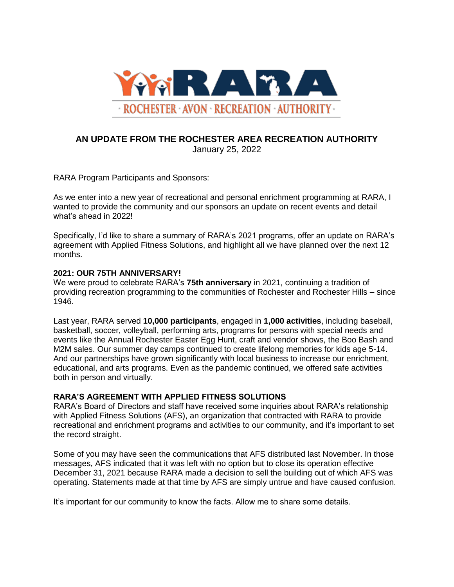

## **AN UPDATE FROM THE ROCHESTER AREA RECREATION AUTHORITY** January 25, 2022

RARA Program Participants and Sponsors:

As we enter into a new year of recreational and personal enrichment programming at RARA, I wanted to provide the community and our sponsors an update on recent events and detail what's ahead in 2022!

Specifically, I'd like to share a summary of RARA's 2021 programs, offer an update on RARA's agreement with Applied Fitness Solutions, and highlight all we have planned over the next 12 months.

### **2021: OUR 75TH ANNIVERSARY!**

We were proud to celebrate RARA's **75th anniversary** in 2021, continuing a tradition of providing recreation programming to the communities of Rochester and Rochester Hills – since 1946.

Last year, RARA served **10,000 participants**, engaged in **1,000 activities**, including baseball, basketball, soccer, volleyball, performing arts, programs for persons with special needs and events like the Annual Rochester Easter Egg Hunt, craft and vendor shows, the Boo Bash and M2M sales. Our summer day camps continued to create lifelong memories for kids age 5-14. And our partnerships have grown significantly with local business to increase our enrichment, educational, and arts programs. Even as the pandemic continued, we offered safe activities both in person and virtually.

## **RARA'S AGREEMENT WITH APPLIED FITNESS SOLUTIONS**

RARA's Board of Directors and staff have received some inquiries about RARA's relationship with Applied Fitness Solutions (AFS), an organization that contracted with RARA to provide recreational and enrichment programs and activities to our community, and it's important to set the record straight.

Some of you may have seen the communications that AFS distributed last November. In those messages, AFS indicated that it was left with no option but to close its operation effective December 31, 2021 because RARA made a decision to sell the building out of which AFS was operating. Statements made at that time by AFS are simply untrue and have caused confusion.

It's important for our community to know the facts. Allow me to share some details.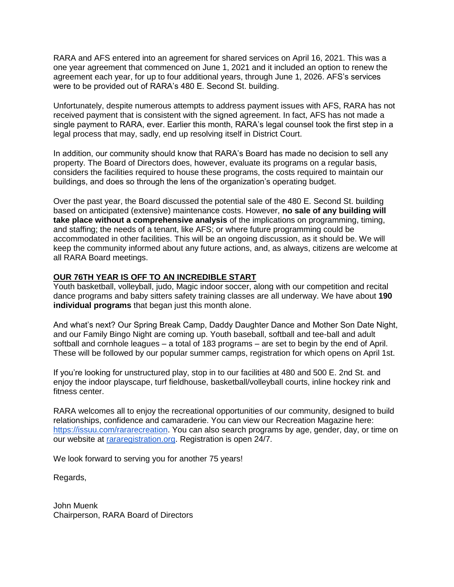RARA and AFS entered into an agreement for shared services on April 16, 2021. This was a one year agreement that commenced on June 1, 2021 and it included an option to renew the agreement each year, for up to four additional years, through June 1, 2026. AFS's services were to be provided out of RARA's 480 E. Second St. building.

Unfortunately, despite numerous attempts to address payment issues with AFS, RARA has not received payment that is consistent with the signed agreement. In fact, AFS has not made a single payment to RARA, ever. Earlier this month, RARA's legal counsel took the first step in a legal process that may, sadly, end up resolving itself in District Court.

In addition, our community should know that RARA's Board has made no decision to sell any property. The Board of Directors does, however, evaluate its programs on a regular basis, considers the facilities required to house these programs, the costs required to maintain our buildings, and does so through the lens of the organization's operating budget.

Over the past year, the Board discussed the potential sale of the 480 E. Second St. building based on anticipated (extensive) maintenance costs. However, **no sale of any building will take place without a comprehensive analysis** of the implications on programming, timing, and staffing; the needs of a tenant, like AFS; or where future programming could be accommodated in other facilities. This will be an ongoing discussion, as it should be. We will keep the community informed about any future actions, and, as always, citizens are welcome at all RARA Board meetings.

#### **OUR 76TH YEAR IS OFF TO AN INCREDIBLE START**

Youth basketball, volleyball, judo, Magic indoor soccer, along with our competition and recital dance programs and baby sitters safety training classes are all underway. We have about **190 individual programs** that began just this month alone.

And what's next? Our Spring Break Camp, Daddy Daughter Dance and Mother Son Date Night, and our Family Bingo Night are coming up. Youth baseball, softball and tee-ball and adult softball and cornhole leagues – a total of 183 programs – are set to begin by the end of April. These will be followed by our popular summer camps, registration for which opens on April 1st.

If you're looking for unstructured play, stop in to our facilities at 480 and 500 E. 2nd St. and enjoy the indoor playscape, turf fieldhouse, basketball/volleyball courts, inline hockey rink and fitness center.

RARA welcomes all to enjoy the recreational opportunities of our community, designed to build relationships, confidence and camaraderie. You can view our Recreation Magazine here[:](https://issuu.com/rararecreation) [https://issuu.com/rararecreation.](https://issuu.com/rararecreation) You can also search programs by age, gender, day, or time on our website at [rararegistration.org.](https://www.rararegistration.org/) Registration is open 24/7.

We look forward to serving you for another 75 years!

Regards,

John Muenk Chairperson, RARA Board of Directors